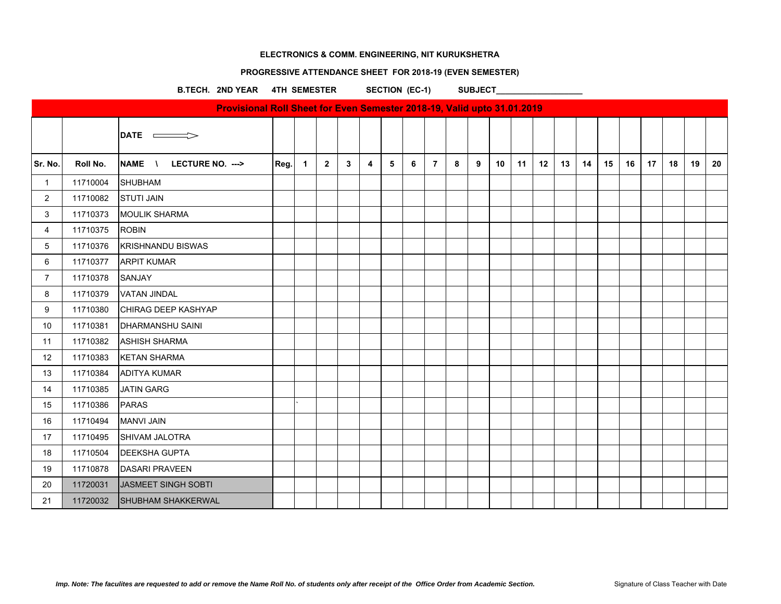# **PROGRESSIVE ATTENDANCE SHEET FOR 2018-19 (EVEN SEMESTER)**

B.TECH. 2ND YEAR 4TH SEMESTER SECTION (EC-1) SUBJECT\_\_\_\_\_\_\_\_\_\_\_\_\_\_\_\_\_\_\_\_\_\_\_\_\_\_\_\_

|                |          | Provisional Roll Sheet for Even Semester 2018-19, Valid upto 31.01.2019 |      |                |             |              |                |             |   |                |   |   |    |    |    |    |    |    |    |                 |    |    |    |
|----------------|----------|-------------------------------------------------------------------------|------|----------------|-------------|--------------|----------------|-------------|---|----------------|---|---|----|----|----|----|----|----|----|-----------------|----|----|----|
|                |          | DATE $\implies$                                                         |      |                |             |              |                |             |   |                |   |   |    |    |    |    |    |    |    |                 |    |    |    |
| Sr. No.        | Roll No. | NAME \<br>LECTURE NO. --->                                              | Reg. | $\overline{1}$ | $2^{\circ}$ | $\mathbf{3}$ | $\overline{4}$ | $5^{\circ}$ | 6 | $\overline{7}$ | 8 | 9 | 10 | 11 | 12 | 13 | 14 | 15 | 16 | 17 <sup>1</sup> | 18 | 19 | 20 |
| $\mathbf{1}$   | 11710004 | <b>SHUBHAM</b>                                                          |      |                |             |              |                |             |   |                |   |   |    |    |    |    |    |    |    |                 |    |    |    |
| $\overline{2}$ | 11710082 | <b>STUTI JAIN</b>                                                       |      |                |             |              |                |             |   |                |   |   |    |    |    |    |    |    |    |                 |    |    |    |
| 3              | 11710373 | <b>MOULIK SHARMA</b>                                                    |      |                |             |              |                |             |   |                |   |   |    |    |    |    |    |    |    |                 |    |    |    |
| $\overline{4}$ | 11710375 | <b>ROBIN</b>                                                            |      |                |             |              |                |             |   |                |   |   |    |    |    |    |    |    |    |                 |    |    |    |
| 5              | 11710376 | <b>KRISHNANDU BISWAS</b>                                                |      |                |             |              |                |             |   |                |   |   |    |    |    |    |    |    |    |                 |    |    |    |
| 6              | 11710377 | <b>ARPIT KUMAR</b>                                                      |      |                |             |              |                |             |   |                |   |   |    |    |    |    |    |    |    |                 |    |    |    |
| $\overline{7}$ | 11710378 | SANJAY                                                                  |      |                |             |              |                |             |   |                |   |   |    |    |    |    |    |    |    |                 |    |    |    |
| 8              | 11710379 | <b>VATAN JINDAL</b>                                                     |      |                |             |              |                |             |   |                |   |   |    |    |    |    |    |    |    |                 |    |    |    |
| 9              | 11710380 | CHIRAG DEEP KASHYAP                                                     |      |                |             |              |                |             |   |                |   |   |    |    |    |    |    |    |    |                 |    |    |    |
| 10             | 11710381 | <b>DHARMANSHU SAINI</b>                                                 |      |                |             |              |                |             |   |                |   |   |    |    |    |    |    |    |    |                 |    |    |    |
| 11             | 11710382 | <b>ASHISH SHARMA</b>                                                    |      |                |             |              |                |             |   |                |   |   |    |    |    |    |    |    |    |                 |    |    |    |
| 12             | 11710383 | <b>KETAN SHARMA</b>                                                     |      |                |             |              |                |             |   |                |   |   |    |    |    |    |    |    |    |                 |    |    |    |
| 13             | 11710384 | <b>ADITYA KUMAR</b>                                                     |      |                |             |              |                |             |   |                |   |   |    |    |    |    |    |    |    |                 |    |    |    |
| 14             | 11710385 | <b>JATIN GARG</b>                                                       |      |                |             |              |                |             |   |                |   |   |    |    |    |    |    |    |    |                 |    |    |    |
| 15             | 11710386 | <b>PARAS</b>                                                            |      |                |             |              |                |             |   |                |   |   |    |    |    |    |    |    |    |                 |    |    |    |
| 16             | 11710494 | <b>MANVI JAIN</b>                                                       |      |                |             |              |                |             |   |                |   |   |    |    |    |    |    |    |    |                 |    |    |    |
| 17             | 11710495 | SHIVAM JALOTRA                                                          |      |                |             |              |                |             |   |                |   |   |    |    |    |    |    |    |    |                 |    |    |    |
| 18             | 11710504 | <b>DEEKSHA GUPTA</b>                                                    |      |                |             |              |                |             |   |                |   |   |    |    |    |    |    |    |    |                 |    |    |    |
| 19             | 11710878 | <b>DASARI PRAVEEN</b>                                                   |      |                |             |              |                |             |   |                |   |   |    |    |    |    |    |    |    |                 |    |    |    |
| 20             | 11720031 | JASMEET SINGH SOBTI                                                     |      |                |             |              |                |             |   |                |   |   |    |    |    |    |    |    |    |                 |    |    |    |
| 21             | 11720032 | <b>SHUBHAM SHAKKERWAL</b>                                               |      |                |             |              |                |             |   |                |   |   |    |    |    |    |    |    |    |                 |    |    |    |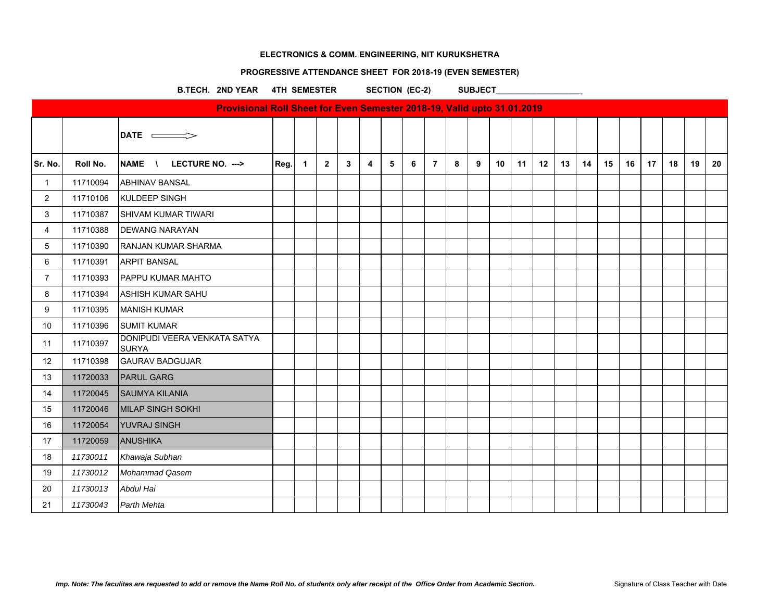# **PROGRESSIVE ATTENDANCE SHEET FOR 2018-19 (EVEN SEMESTER)**

B.TECH. 2ND YEAR 4TH SEMESTER SECTION (EC-2) SUBJECT\_\_\_\_\_\_\_\_\_\_\_\_\_\_\_\_\_\_\_\_\_\_\_\_\_\_\_\_

|                |          | Provisional Roll Sheet for Even Semester 2018-19, Valid upto 31.01.2019 |      |                |             |              |                |   |   |                |   |   |                 |    |    |    |    |    |    |                 |    |    |    |
|----------------|----------|-------------------------------------------------------------------------|------|----------------|-------------|--------------|----------------|---|---|----------------|---|---|-----------------|----|----|----|----|----|----|-----------------|----|----|----|
|                |          | DATE $\implies$                                                         |      |                |             |              |                |   |   |                |   |   |                 |    |    |    |    |    |    |                 |    |    |    |
| Sr. No.        | Roll No. | NAME \ LECTURE NO. --->                                                 | Reg. | $\overline{1}$ | $2^{\circ}$ | $\mathbf{3}$ | $\overline{4}$ | 5 | 6 | $\overline{7}$ | 8 | 9 | 10 <sup>°</sup> | 11 | 12 | 13 | 14 | 15 | 16 | 17 <sup>7</sup> | 18 | 19 | 20 |
| $\mathbf{1}$   | 11710094 | <b>ABHINAV BANSAL</b>                                                   |      |                |             |              |                |   |   |                |   |   |                 |    |    |    |    |    |    |                 |    |    |    |
| $\overline{2}$ | 11710106 | KULDEEP SINGH                                                           |      |                |             |              |                |   |   |                |   |   |                 |    |    |    |    |    |    |                 |    |    |    |
| 3              | 11710387 | <b>SHIVAM KUMAR TIWARI</b>                                              |      |                |             |              |                |   |   |                |   |   |                 |    |    |    |    |    |    |                 |    |    |    |
| $\overline{4}$ | 11710388 | <b>DEWANG NARAYAN</b>                                                   |      |                |             |              |                |   |   |                |   |   |                 |    |    |    |    |    |    |                 |    |    |    |
| 5              | 11710390 | <b>RANJAN KUMAR SHARMA</b>                                              |      |                |             |              |                |   |   |                |   |   |                 |    |    |    |    |    |    |                 |    |    |    |
| 6              | 11710391 | <b>ARPIT BANSAL</b>                                                     |      |                |             |              |                |   |   |                |   |   |                 |    |    |    |    |    |    |                 |    |    |    |
| $\overline{7}$ | 11710393 | <b>PAPPU KUMAR MAHTO</b>                                                |      |                |             |              |                |   |   |                |   |   |                 |    |    |    |    |    |    |                 |    |    |    |
| 8              | 11710394 | <b>ASHISH KUMAR SAHU</b>                                                |      |                |             |              |                |   |   |                |   |   |                 |    |    |    |    |    |    |                 |    |    |    |
| 9              | 11710395 | <b>MANISH KUMAR</b>                                                     |      |                |             |              |                |   |   |                |   |   |                 |    |    |    |    |    |    |                 |    |    |    |
| 10             | 11710396 | <b>SUMIT KUMAR</b>                                                      |      |                |             |              |                |   |   |                |   |   |                 |    |    |    |    |    |    |                 |    |    |    |
| 11             | 11710397 | DONIPUDI VEERA VENKATA SATYA<br><b>SURYA</b>                            |      |                |             |              |                |   |   |                |   |   |                 |    |    |    |    |    |    |                 |    |    |    |
| 12             | 11710398 | <b>GAURAV BADGUJAR</b>                                                  |      |                |             |              |                |   |   |                |   |   |                 |    |    |    |    |    |    |                 |    |    |    |
| 13             | 11720033 | <b>PARUL GARG</b>                                                       |      |                |             |              |                |   |   |                |   |   |                 |    |    |    |    |    |    |                 |    |    |    |
| 14             | 11720045 | <b>SAUMYA KILANIA</b>                                                   |      |                |             |              |                |   |   |                |   |   |                 |    |    |    |    |    |    |                 |    |    |    |
| 15             | 11720046 | <b>MILAP SINGH SOKHI</b>                                                |      |                |             |              |                |   |   |                |   |   |                 |    |    |    |    |    |    |                 |    |    |    |
| 16             | 11720054 | <b>YUVRAJ SINGH</b>                                                     |      |                |             |              |                |   |   |                |   |   |                 |    |    |    |    |    |    |                 |    |    |    |
| 17             | 11720059 | ANUSHIKA                                                                |      |                |             |              |                |   |   |                |   |   |                 |    |    |    |    |    |    |                 |    |    |    |
| 18             | 11730011 | Khawaja Subhan                                                          |      |                |             |              |                |   |   |                |   |   |                 |    |    |    |    |    |    |                 |    |    |    |
| 19             | 11730012 | Mohammad Qasem                                                          |      |                |             |              |                |   |   |                |   |   |                 |    |    |    |    |    |    |                 |    |    |    |
| 20             | 11730013 | Abdul Hai                                                               |      |                |             |              |                |   |   |                |   |   |                 |    |    |    |    |    |    |                 |    |    |    |
| 21             | 11730043 | Parth Mehta                                                             |      |                |             |              |                |   |   |                |   |   |                 |    |    |    |    |    |    |                 |    |    |    |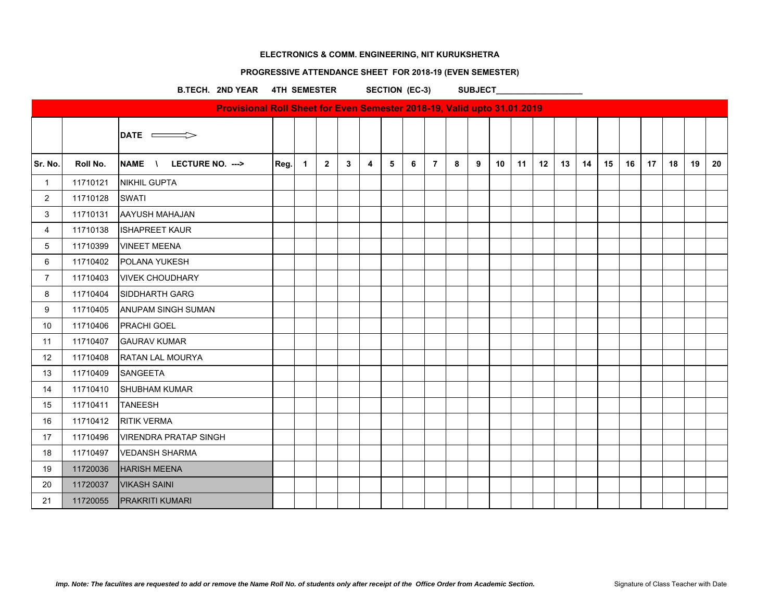#### **PROGRESSIVE ATTENDANCE SHEET FOR 2018-19 (EVEN SEMESTER)**

B.TECH. 2ND YEAR 4TH SEMESTER SECTION (EC-3) SUBJECT\_

|                |          | Provisional Roll Sheet for Even Semester 2018-19, Valid upto 31.01.2019 |      |                |                |              |                |                |   |                |   |   |    |    |    |    |    |    |    |    |    |    |    |
|----------------|----------|-------------------------------------------------------------------------|------|----------------|----------------|--------------|----------------|----------------|---|----------------|---|---|----|----|----|----|----|----|----|----|----|----|----|
|                |          | DATE $\implies$                                                         |      |                |                |              |                |                |   |                |   |   |    |    |    |    |    |    |    |    |    |    |    |
| Sr. No.        | Roll No. | NAME \<br>LECTURE NO. --->                                              | Reg. | $\overline{1}$ | $\overline{2}$ | $\mathbf{3}$ | $\overline{4}$ | 5 <sup>5</sup> | 6 | $\overline{7}$ | 8 | 9 | 10 | 11 | 12 | 13 | 14 | 15 | 16 | 17 | 18 | 19 | 20 |
| $\overline{1}$ | 11710121 | NIKHIL GUPTA                                                            |      |                |                |              |                |                |   |                |   |   |    |    |    |    |    |    |    |    |    |    |    |
| $\overline{2}$ | 11710128 | <b>SWATI</b>                                                            |      |                |                |              |                |                |   |                |   |   |    |    |    |    |    |    |    |    |    |    |    |
| 3              | 11710131 | <b>AAYUSH MAHAJAN</b>                                                   |      |                |                |              |                |                |   |                |   |   |    |    |    |    |    |    |    |    |    |    |    |
| $\overline{4}$ | 11710138 | <b>ISHAPREET KAUR</b>                                                   |      |                |                |              |                |                |   |                |   |   |    |    |    |    |    |    |    |    |    |    |    |
| 5              | 11710399 | <b>VINEET MEENA</b>                                                     |      |                |                |              |                |                |   |                |   |   |    |    |    |    |    |    |    |    |    |    |    |
| 6              | 11710402 | POLANA YUKESH                                                           |      |                |                |              |                |                |   |                |   |   |    |    |    |    |    |    |    |    |    |    |    |
| $\overline{7}$ | 11710403 | <b>VIVEK CHOUDHARY</b>                                                  |      |                |                |              |                |                |   |                |   |   |    |    |    |    |    |    |    |    |    |    |    |
| 8              | 11710404 | SIDDHARTH GARG                                                          |      |                |                |              |                |                |   |                |   |   |    |    |    |    |    |    |    |    |    |    |    |
| 9              | 11710405 | <b>ANUPAM SINGH SUMAN</b>                                               |      |                |                |              |                |                |   |                |   |   |    |    |    |    |    |    |    |    |    |    |    |
| 10             | 11710406 | <b>PRACHI GOEL</b>                                                      |      |                |                |              |                |                |   |                |   |   |    |    |    |    |    |    |    |    |    |    |    |
| 11             | 11710407 | <b>GAURAV KUMAR</b>                                                     |      |                |                |              |                |                |   |                |   |   |    |    |    |    |    |    |    |    |    |    |    |
| 12             | 11710408 | RATAN LAL MOURYA                                                        |      |                |                |              |                |                |   |                |   |   |    |    |    |    |    |    |    |    |    |    |    |
| 13             | 11710409 | <b>SANGEETA</b>                                                         |      |                |                |              |                |                |   |                |   |   |    |    |    |    |    |    |    |    |    |    |    |
| 14             | 11710410 | <b>SHUBHAM KUMAR</b>                                                    |      |                |                |              |                |                |   |                |   |   |    |    |    |    |    |    |    |    |    |    |    |
| 15             | 11710411 | <b>TANEESH</b>                                                          |      |                |                |              |                |                |   |                |   |   |    |    |    |    |    |    |    |    |    |    |    |
| 16             | 11710412 | <b>RITIK VERMA</b>                                                      |      |                |                |              |                |                |   |                |   |   |    |    |    |    |    |    |    |    |    |    |    |
| 17             | 11710496 | <b>VIRENDRA PRATAP SINGH</b>                                            |      |                |                |              |                |                |   |                |   |   |    |    |    |    |    |    |    |    |    |    |    |
| 18             | 11710497 | <b>VEDANSH SHARMA</b>                                                   |      |                |                |              |                |                |   |                |   |   |    |    |    |    |    |    |    |    |    |    |    |
| 19             | 11720036 | <b>HARISH MEENA</b>                                                     |      |                |                |              |                |                |   |                |   |   |    |    |    |    |    |    |    |    |    |    |    |
| 20             | 11720037 | <b>VIKASH SAINI</b>                                                     |      |                |                |              |                |                |   |                |   |   |    |    |    |    |    |    |    |    |    |    |    |
| 21             | 11720055 | <b>PRAKRITI KUMARI</b>                                                  |      |                |                |              |                |                |   |                |   |   |    |    |    |    |    |    |    |    |    |    |    |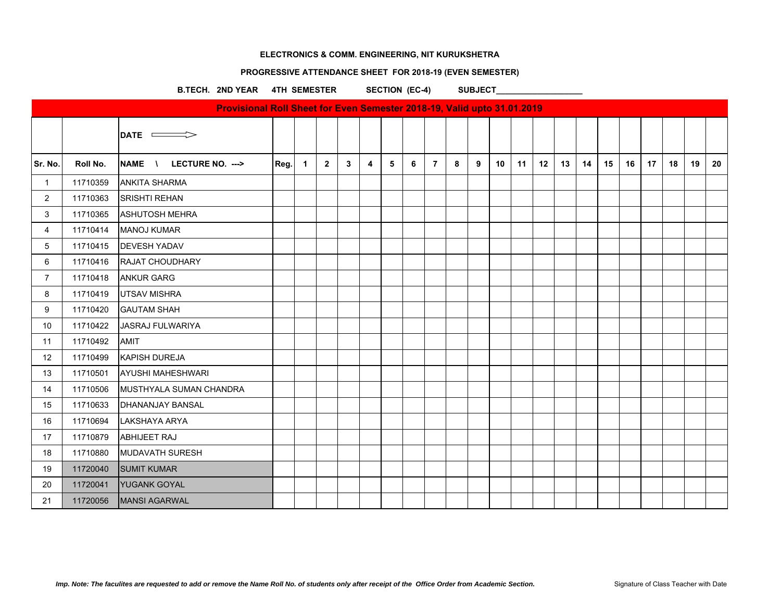# **PROGRESSIVE ATTENDANCE SHEET FOR 2018-19 (EVEN SEMESTER)**

B.TECH. 2ND YEAR 4TH SEMESTER SECTION (EC-4) SUBJECT\_\_\_\_\_\_\_\_\_\_\_\_\_\_\_\_\_\_\_\_\_\_\_\_\_\_\_\_

|                |          | Provisional Roll Sheet for Even Semester 2018-19, Valid upto 31.01.2019 |      |                |             |              |                |   |   |                |   |   |                 |    |    |    |    |    |    |    |    |    |    |
|----------------|----------|-------------------------------------------------------------------------|------|----------------|-------------|--------------|----------------|---|---|----------------|---|---|-----------------|----|----|----|----|----|----|----|----|----|----|
|                |          | DATE $\implies$                                                         |      |                |             |              |                |   |   |                |   |   |                 |    |    |    |    |    |    |    |    |    |    |
| Sr. No.        | Roll No. | NAME \<br>LECTURE NO. --->                                              | Reg. | $\overline{1}$ | $2^{\circ}$ | $\mathbf{3}$ | $\overline{4}$ | 5 | 6 | $\overline{7}$ | 8 | 9 | 10 <sup>°</sup> | 11 | 12 | 13 | 14 | 15 | 16 | 17 | 18 | 19 | 20 |
| $\mathbf{1}$   | 11710359 | <b>ANKITA SHARMA</b>                                                    |      |                |             |              |                |   |   |                |   |   |                 |    |    |    |    |    |    |    |    |    |    |
| $\overline{2}$ | 11710363 | <b>SRISHTI REHAN</b>                                                    |      |                |             |              |                |   |   |                |   |   |                 |    |    |    |    |    |    |    |    |    |    |
| 3              | 11710365 | <b>ASHUTOSH MEHRA</b>                                                   |      |                |             |              |                |   |   |                |   |   |                 |    |    |    |    |    |    |    |    |    |    |
| 4              | 11710414 | <b>MANOJ KUMAR</b>                                                      |      |                |             |              |                |   |   |                |   |   |                 |    |    |    |    |    |    |    |    |    |    |
| 5              | 11710415 | <b>DEVESH YADAV</b>                                                     |      |                |             |              |                |   |   |                |   |   |                 |    |    |    |    |    |    |    |    |    |    |
| 6              | 11710416 | <b>RAJAT CHOUDHARY</b>                                                  |      |                |             |              |                |   |   |                |   |   |                 |    |    |    |    |    |    |    |    |    |    |
| $\overline{7}$ | 11710418 | <b>ANKUR GARG</b>                                                       |      |                |             |              |                |   |   |                |   |   |                 |    |    |    |    |    |    |    |    |    |    |
| 8              | 11710419 | <b>UTSAV MISHRA</b>                                                     |      |                |             |              |                |   |   |                |   |   |                 |    |    |    |    |    |    |    |    |    |    |
| 9              | 11710420 | <b>GAUTAM SHAH</b>                                                      |      |                |             |              |                |   |   |                |   |   |                 |    |    |    |    |    |    |    |    |    |    |
| 10             | 11710422 | JASRAJ FULWARIYA                                                        |      |                |             |              |                |   |   |                |   |   |                 |    |    |    |    |    |    |    |    |    |    |
| 11             | 11710492 | <b>AMIT</b>                                                             |      |                |             |              |                |   |   |                |   |   |                 |    |    |    |    |    |    |    |    |    |    |
| 12             | 11710499 | <b>KAPISH DUREJA</b>                                                    |      |                |             |              |                |   |   |                |   |   |                 |    |    |    |    |    |    |    |    |    |    |
| 13             | 11710501 | <b>AYUSHI MAHESHWARI</b>                                                |      |                |             |              |                |   |   |                |   |   |                 |    |    |    |    |    |    |    |    |    |    |
| 14             | 11710506 | <b>IMUSTHYALA SUMAN CHANDRA</b>                                         |      |                |             |              |                |   |   |                |   |   |                 |    |    |    |    |    |    |    |    |    |    |
| 15             | 11710633 | <b>DHANANJAY BANSAL</b>                                                 |      |                |             |              |                |   |   |                |   |   |                 |    |    |    |    |    |    |    |    |    |    |
| 16             | 11710694 | LAKSHAYA ARYA                                                           |      |                |             |              |                |   |   |                |   |   |                 |    |    |    |    |    |    |    |    |    |    |
| 17             | 11710879 | <b>ABHIJEET RAJ</b>                                                     |      |                |             |              |                |   |   |                |   |   |                 |    |    |    |    |    |    |    |    |    |    |
| 18             | 11710880 | MUDAVATH SURESH                                                         |      |                |             |              |                |   |   |                |   |   |                 |    |    |    |    |    |    |    |    |    |    |
| 19             | 11720040 | <b>SUMIT KUMAR</b>                                                      |      |                |             |              |                |   |   |                |   |   |                 |    |    |    |    |    |    |    |    |    |    |
| 20             | 11720041 | YUGANK GOYAL                                                            |      |                |             |              |                |   |   |                |   |   |                 |    |    |    |    |    |    |    |    |    |    |
| 21             | 11720056 | MANSI AGARWAL                                                           |      |                |             |              |                |   |   |                |   |   |                 |    |    |    |    |    |    |    |    |    |    |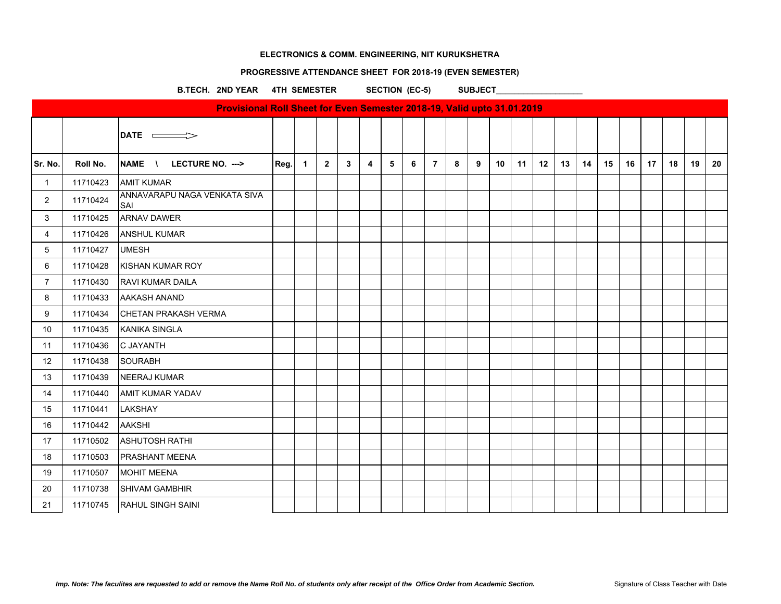# **PROGRESSIVE ATTENDANCE SHEET FOR 2018-19 (EVEN SEMESTER)**

B.TECH. 2ND YEAR 4TH SEMESTER SECTION (EC-5) SUBJECT\_\_\_\_\_\_\_\_\_\_\_\_\_\_\_\_\_\_\_\_\_\_\_\_\_\_\_\_

|                |          | Provisional Roll Sheet for Even Semester 2018-19, Valid upto 31.01.2019 |      |                |             |              |                |   |   |                |   |   |    |    |    |    |    |    |    |    |    |    |    |
|----------------|----------|-------------------------------------------------------------------------|------|----------------|-------------|--------------|----------------|---|---|----------------|---|---|----|----|----|----|----|----|----|----|----|----|----|
|                |          | DATE $\implies$                                                         |      |                |             |              |                |   |   |                |   |   |    |    |    |    |    |    |    |    |    |    |    |
| Sr. No.        | Roll No. | NAME \ LECTURE NO. --->                                                 | Reg. | $\overline{1}$ | $2^{\circ}$ | $\mathbf{3}$ | $\overline{4}$ | 5 | 6 | $\overline{7}$ | 8 | 9 | 10 | 11 | 12 | 13 | 14 | 15 | 16 | 17 | 18 | 19 | 20 |
| $\mathbf{1}$   | 11710423 | <b>AMIT KUMAR</b>                                                       |      |                |             |              |                |   |   |                |   |   |    |    |    |    |    |    |    |    |    |    |    |
| $\overline{2}$ | 11710424 | ANNAVARAPU NAGA VENKATA SIVA<br><b>SAI</b>                              |      |                |             |              |                |   |   |                |   |   |    |    |    |    |    |    |    |    |    |    |    |
| 3              | 11710425 | <b>ARNAV DAWER</b>                                                      |      |                |             |              |                |   |   |                |   |   |    |    |    |    |    |    |    |    |    |    |    |
| $\overline{4}$ | 11710426 | <b>ANSHUL KUMAR</b>                                                     |      |                |             |              |                |   |   |                |   |   |    |    |    |    |    |    |    |    |    |    |    |
| 5              | 11710427 | <b>UMESH</b>                                                            |      |                |             |              |                |   |   |                |   |   |    |    |    |    |    |    |    |    |    |    |    |
| 6              | 11710428 | KISHAN KUMAR ROY                                                        |      |                |             |              |                |   |   |                |   |   |    |    |    |    |    |    |    |    |    |    |    |
| $\overline{7}$ | 11710430 | <b>RAVI KUMAR DAILA</b>                                                 |      |                |             |              |                |   |   |                |   |   |    |    |    |    |    |    |    |    |    |    |    |
| 8              | 11710433 | <b>AAKASH ANAND</b>                                                     |      |                |             |              |                |   |   |                |   |   |    |    |    |    |    |    |    |    |    |    |    |
| 9              | 11710434 | CHETAN PRAKASH VERMA                                                    |      |                |             |              |                |   |   |                |   |   |    |    |    |    |    |    |    |    |    |    |    |
| 10             | 11710435 | KANIKA SINGLA                                                           |      |                |             |              |                |   |   |                |   |   |    |    |    |    |    |    |    |    |    |    |    |
| 11             | 11710436 | C JAYANTH                                                               |      |                |             |              |                |   |   |                |   |   |    |    |    |    |    |    |    |    |    |    |    |
| 12             | 11710438 | <b>SOURABH</b>                                                          |      |                |             |              |                |   |   |                |   |   |    |    |    |    |    |    |    |    |    |    |    |
| 13             | 11710439 | NEERAJ KUMAR                                                            |      |                |             |              |                |   |   |                |   |   |    |    |    |    |    |    |    |    |    |    |    |
| 14             | 11710440 | <b>AMIT KUMAR YADAV</b>                                                 |      |                |             |              |                |   |   |                |   |   |    |    |    |    |    |    |    |    |    |    |    |
| 15             | 11710441 | <b>LAKSHAY</b>                                                          |      |                |             |              |                |   |   |                |   |   |    |    |    |    |    |    |    |    |    |    |    |
| 16             | 11710442 | <b>AAKSHI</b>                                                           |      |                |             |              |                |   |   |                |   |   |    |    |    |    |    |    |    |    |    |    |    |
| 17             | 11710502 | <b>ASHUTOSH RATHI</b>                                                   |      |                |             |              |                |   |   |                |   |   |    |    |    |    |    |    |    |    |    |    |    |
| 18             | 11710503 | <b>PRASHANT MEENA</b>                                                   |      |                |             |              |                |   |   |                |   |   |    |    |    |    |    |    |    |    |    |    |    |
| 19             | 11710507 | <b>MOHIT MEENA</b>                                                      |      |                |             |              |                |   |   |                |   |   |    |    |    |    |    |    |    |    |    |    |    |
| 20             | 11710738 | <b>SHIVAM GAMBHIR</b>                                                   |      |                |             |              |                |   |   |                |   |   |    |    |    |    |    |    |    |    |    |    |    |
| 21             | 11710745 | RAHUL SINGH SAINI                                                       |      |                |             |              |                |   |   |                |   |   |    |    |    |    |    |    |    |    |    |    |    |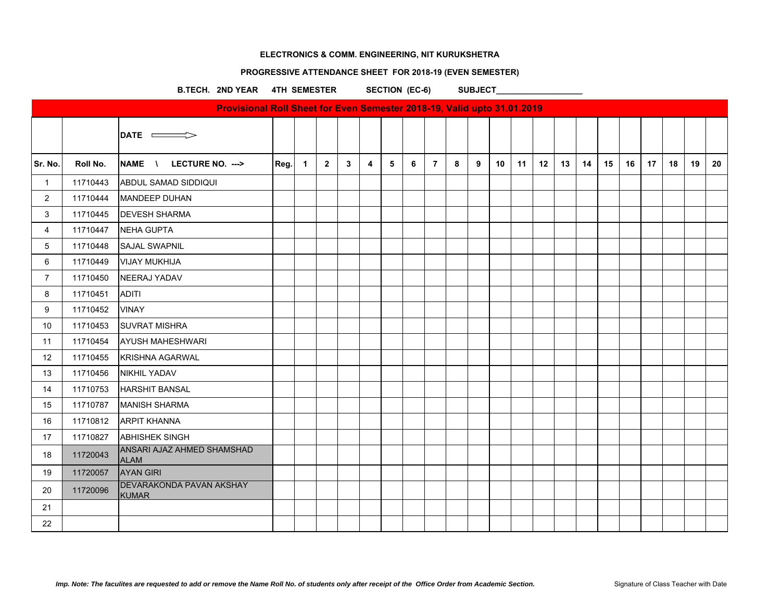#### **PROGRESSIVE ATTENDANCE SHEET FOR 2018-19 (EVEN SEMESTER)**

B.TECH. 2ND YEAR 4TH SEMESTER SECTION (EC-6) SUBJECT\_\_\_\_\_\_\_\_\_\_\_\_\_\_\_\_\_\_\_\_\_\_\_\_\_\_\_\_\_

|                |          | Provisional Roll Sheet for Even Semester 2018-19, Valid upto 31.01.2019 |      |             |              |              |   |   |   |                |   |   |    |    |    |    |    |    |    |    |    |    |    |
|----------------|----------|-------------------------------------------------------------------------|------|-------------|--------------|--------------|---|---|---|----------------|---|---|----|----|----|----|----|----|----|----|----|----|----|
|                |          | DATE $\implies$                                                         |      |             |              |              |   |   |   |                |   |   |    |    |    |    |    |    |    |    |    |    |    |
| Sr. No.        | Roll No. | NAME \ LECTURE NO. --->                                                 | Reg. | $\mathbf 1$ | $\mathbf{2}$ | $\mathbf{3}$ | 4 | 5 | 6 | $\overline{7}$ | 8 | 9 | 10 | 11 | 12 | 13 | 14 | 15 | 16 | 17 | 18 | 19 | 20 |
| $\overline{1}$ | 11710443 | ABDUL SAMAD SIDDIQUI                                                    |      |             |              |              |   |   |   |                |   |   |    |    |    |    |    |    |    |    |    |    |    |
| $\overline{2}$ | 11710444 | <b>MANDEEP DUHAN</b>                                                    |      |             |              |              |   |   |   |                |   |   |    |    |    |    |    |    |    |    |    |    |    |
| 3              | 11710445 | <b>DEVESH SHARMA</b>                                                    |      |             |              |              |   |   |   |                |   |   |    |    |    |    |    |    |    |    |    |    |    |
| $\overline{4}$ | 11710447 | NEHA GUPTA                                                              |      |             |              |              |   |   |   |                |   |   |    |    |    |    |    |    |    |    |    |    |    |
| 5              | 11710448 | <b>SAJAL SWAPNIL</b>                                                    |      |             |              |              |   |   |   |                |   |   |    |    |    |    |    |    |    |    |    |    |    |
| 6              | 11710449 | <b>VIJAY MUKHIJA</b>                                                    |      |             |              |              |   |   |   |                |   |   |    |    |    |    |    |    |    |    |    |    |    |
| $\overline{7}$ | 11710450 | NEERAJ YADAV                                                            |      |             |              |              |   |   |   |                |   |   |    |    |    |    |    |    |    |    |    |    |    |
| 8              | 11710451 | <b>ADITI</b>                                                            |      |             |              |              |   |   |   |                |   |   |    |    |    |    |    |    |    |    |    |    |    |
| 9              | 11710452 | <b>VINAY</b>                                                            |      |             |              |              |   |   |   |                |   |   |    |    |    |    |    |    |    |    |    |    |    |
| 10             | 11710453 | <b>SUVRAT MISHRA</b>                                                    |      |             |              |              |   |   |   |                |   |   |    |    |    |    |    |    |    |    |    |    |    |
| 11             | 11710454 | <b>AYUSH MAHESHWARI</b>                                                 |      |             |              |              |   |   |   |                |   |   |    |    |    |    |    |    |    |    |    |    |    |
| 12             | 11710455 | <b>KRISHNA AGARWAL</b>                                                  |      |             |              |              |   |   |   |                |   |   |    |    |    |    |    |    |    |    |    |    |    |
| 13             | 11710456 | <b>NIKHIL YADAV</b>                                                     |      |             |              |              |   |   |   |                |   |   |    |    |    |    |    |    |    |    |    |    |    |
| 14             | 11710753 | <b>HARSHIT BANSAL</b>                                                   |      |             |              |              |   |   |   |                |   |   |    |    |    |    |    |    |    |    |    |    |    |
| 15             | 11710787 | <b>MANISH SHARMA</b>                                                    |      |             |              |              |   |   |   |                |   |   |    |    |    |    |    |    |    |    |    |    |    |
| 16             | 11710812 | <b>ARPIT KHANNA</b>                                                     |      |             |              |              |   |   |   |                |   |   |    |    |    |    |    |    |    |    |    |    |    |
| 17             | 11710827 | <b>ABHISHEK SINGH</b>                                                   |      |             |              |              |   |   |   |                |   |   |    |    |    |    |    |    |    |    |    |    |    |
| 18             | 11720043 | ANSARI AJAZ AHMED SHAMSHAD<br><b>ALAM</b>                               |      |             |              |              |   |   |   |                |   |   |    |    |    |    |    |    |    |    |    |    |    |
| 19             | 11720057 | <b>AYAN GIRI</b>                                                        |      |             |              |              |   |   |   |                |   |   |    |    |    |    |    |    |    |    |    |    |    |
| 20             | 11720096 | <b>DEVARAKONDA PAVAN AKSHAY</b><br><b>KUMAR</b>                         |      |             |              |              |   |   |   |                |   |   |    |    |    |    |    |    |    |    |    |    |    |
| 21             |          |                                                                         |      |             |              |              |   |   |   |                |   |   |    |    |    |    |    |    |    |    |    |    |    |
| 22             |          |                                                                         |      |             |              |              |   |   |   |                |   |   |    |    |    |    |    |    |    |    |    |    |    |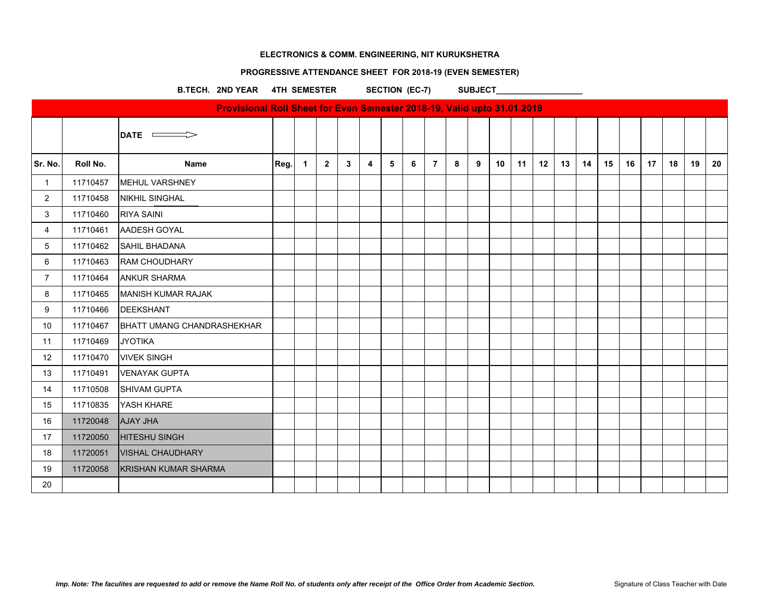# **PROGRESSIVE ATTENDANCE SHEET FOR 2018-19 (EVEN SEMESTER)**

B.TECH. 2ND YEAR 4TH SEMESTER SECTION (EC-7) SUBJECT\_\_\_\_\_\_\_\_\_\_\_\_\_\_\_\_\_\_\_\_\_\_\_\_\_\_\_\_

|                |          | Provisional Roll Sheet for Even Semester 2018-19, Valid upto 31.01.2019 |      |             |                |   |                |                |   |                |   |   |    |    |    |    |    |    |    |                 |    |    |    |
|----------------|----------|-------------------------------------------------------------------------|------|-------------|----------------|---|----------------|----------------|---|----------------|---|---|----|----|----|----|----|----|----|-----------------|----|----|----|
|                |          | $\overline{\phantom{a}}$ DATE $\overline{\phantom{a}}$                  |      |             |                |   |                |                |   |                |   |   |    |    |    |    |    |    |    |                 |    |    |    |
| Sr. No.        | Roll No. | <b>Name</b>                                                             | Reg. | $\mathbf 1$ | $\overline{2}$ | 3 | $\overline{4}$ | 5 <sup>5</sup> | 6 | $\overline{7}$ | 8 | 9 | 10 | 11 | 12 | 13 | 14 | 15 | 16 | 17 <sub>2</sub> | 18 | 19 | 20 |
| $\mathbf{1}$   | 11710457 | <b>MEHUL VARSHNEY</b>                                                   |      |             |                |   |                |                |   |                |   |   |    |    |    |    |    |    |    |                 |    |    |    |
| $\overline{2}$ | 11710458 | <b>NIKHIL SINGHAL</b>                                                   |      |             |                |   |                |                |   |                |   |   |    |    |    |    |    |    |    |                 |    |    |    |
| 3              | 11710460 | <b>RIYA SAINI</b>                                                       |      |             |                |   |                |                |   |                |   |   |    |    |    |    |    |    |    |                 |    |    |    |
| $\overline{4}$ | 11710461 | AADESH GOYAL                                                            |      |             |                |   |                |                |   |                |   |   |    |    |    |    |    |    |    |                 |    |    |    |
| 5              | 11710462 | <b>SAHIL BHADANA</b>                                                    |      |             |                |   |                |                |   |                |   |   |    |    |    |    |    |    |    |                 |    |    |    |
| 6              | 11710463 | <b>RAM CHOUDHARY</b>                                                    |      |             |                |   |                |                |   |                |   |   |    |    |    |    |    |    |    |                 |    |    |    |
| $\overline{7}$ | 11710464 | <b>ANKUR SHARMA</b>                                                     |      |             |                |   |                |                |   |                |   |   |    |    |    |    |    |    |    |                 |    |    |    |
| 8              | 11710465 | IMANISH KUMAR RAJAK                                                     |      |             |                |   |                |                |   |                |   |   |    |    |    |    |    |    |    |                 |    |    |    |
| 9              | 11710466 | <b>DEEKSHANT</b>                                                        |      |             |                |   |                |                |   |                |   |   |    |    |    |    |    |    |    |                 |    |    |    |
| 10             | 11710467 | <b>BHATT UMANG CHANDRASHEKHAR</b>                                       |      |             |                |   |                |                |   |                |   |   |    |    |    |    |    |    |    |                 |    |    |    |
| 11             | 11710469 | <b>JYOTIKA</b>                                                          |      |             |                |   |                |                |   |                |   |   |    |    |    |    |    |    |    |                 |    |    |    |
| 12             | 11710470 | <b>VIVEK SINGH</b>                                                      |      |             |                |   |                |                |   |                |   |   |    |    |    |    |    |    |    |                 |    |    |    |
| 13             | 11710491 | <b>VENAYAK GUPTA</b>                                                    |      |             |                |   |                |                |   |                |   |   |    |    |    |    |    |    |    |                 |    |    |    |
| 14             | 11710508 | <b>SHIVAM GUPTA</b>                                                     |      |             |                |   |                |                |   |                |   |   |    |    |    |    |    |    |    |                 |    |    |    |
| 15             | 11710835 | YASH KHARE                                                              |      |             |                |   |                |                |   |                |   |   |    |    |    |    |    |    |    |                 |    |    |    |
| 16             | 11720048 | <b>AJAY JHA</b>                                                         |      |             |                |   |                |                |   |                |   |   |    |    |    |    |    |    |    |                 |    |    |    |
| 17             | 11720050 | <b>HITESHU SINGH</b>                                                    |      |             |                |   |                |                |   |                |   |   |    |    |    |    |    |    |    |                 |    |    |    |
| 18             | 11720051 | <b>VISHAL CHAUDHARY</b>                                                 |      |             |                |   |                |                |   |                |   |   |    |    |    |    |    |    |    |                 |    |    |    |
| 19             | 11720058 | KRISHAN KUMAR SHARMA                                                    |      |             |                |   |                |                |   |                |   |   |    |    |    |    |    |    |    |                 |    |    |    |
| 20             |          |                                                                         |      |             |                |   |                |                |   |                |   |   |    |    |    |    |    |    |    |                 |    |    |    |